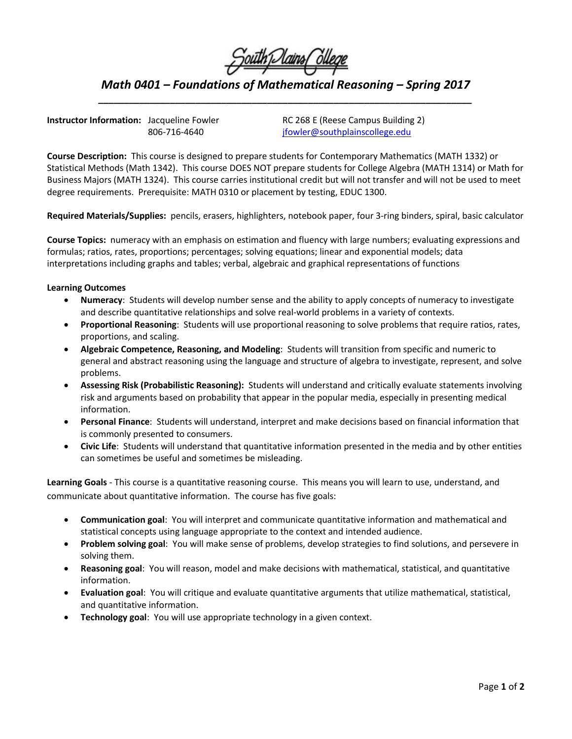

*Math 0401 – Foundations of Mathematical Reasoning – Spring 2017 \_\_\_\_\_\_\_\_\_\_\_\_\_\_\_\_\_\_\_\_\_\_\_\_\_\_\_\_\_\_\_\_\_\_\_\_\_\_\_\_\_\_\_\_\_\_\_\_\_\_\_\_\_\_\_\_\_\_\_\_\_\_\_\_\_\_\_\_\_\_\_\_\_*

**Instructor Information:** Jacqueline Fowler RC 268 E (Reese Campus Building 2)

806-716-4640 ifowler@southplainscollege.edu

**Course Description:** This course is designed to prepare students for Contemporary Mathematics (MATH 1332) or Statistical Methods (Math 1342). This course DOES NOT prepare students for College Algebra (MATH 1314) or Math for Business Majors (MATH 1324). This course carries institutional credit but will not transfer and will not be used to meet degree requirements. Prerequisite: MATH 0310 or placement by testing, EDUC 1300.

**Required Materials/Supplies:** pencils, erasers, highlighters, notebook paper, four 3-ring binders, spiral, basic calculator

**Course Topics:** numeracy with an emphasis on estimation and fluency with large numbers; evaluating expressions and formulas; ratios, rates, proportions; percentages; solving equations; linear and exponential models; data interpretations including graphs and tables; verbal, algebraic and graphical representations of functions

## **Learning Outcomes**

- **Numeracy**: Students will develop number sense and the ability to apply concepts of numeracy to investigate and describe quantitative relationships and solve real-world problems in a variety of contexts.
- **Proportional Reasoning**: Students will use proportional reasoning to solve problems that require ratios, rates, proportions, and scaling.
- **Algebraic Competence, Reasoning, and Modeling**: Students will transition from specific and numeric to general and abstract reasoning using the language and structure of algebra to investigate, represent, and solve problems.
- **Assessing Risk (Probabilistic Reasoning):** Students will understand and critically evaluate statements involving risk and arguments based on probability that appear in the popular media, especially in presenting medical information.
- **Personal Finance**: Students will understand, interpret and make decisions based on financial information that is commonly presented to consumers.
- **Civic Life**: Students will understand that quantitative information presented in the media and by other entities can sometimes be useful and sometimes be misleading.

**Learning Goals** - This course is a quantitative reasoning course. This means you will learn to use, understand, and communicate about quantitative information. The course has five goals:

- **Communication goal**: You will interpret and communicate quantitative information and mathematical and statistical concepts using language appropriate to the context and intended audience.
- **Problem solving goal**: You will make sense of problems, develop strategies to find solutions, and persevere in solving them.
- **Reasoning goal**: You will reason, model and make decisions with mathematical, statistical, and quantitative information.
- **Evaluation goal**: You will critique and evaluate quantitative arguments that utilize mathematical, statistical, and quantitative information.
- **Technology goal**: You will use appropriate technology in a given context.